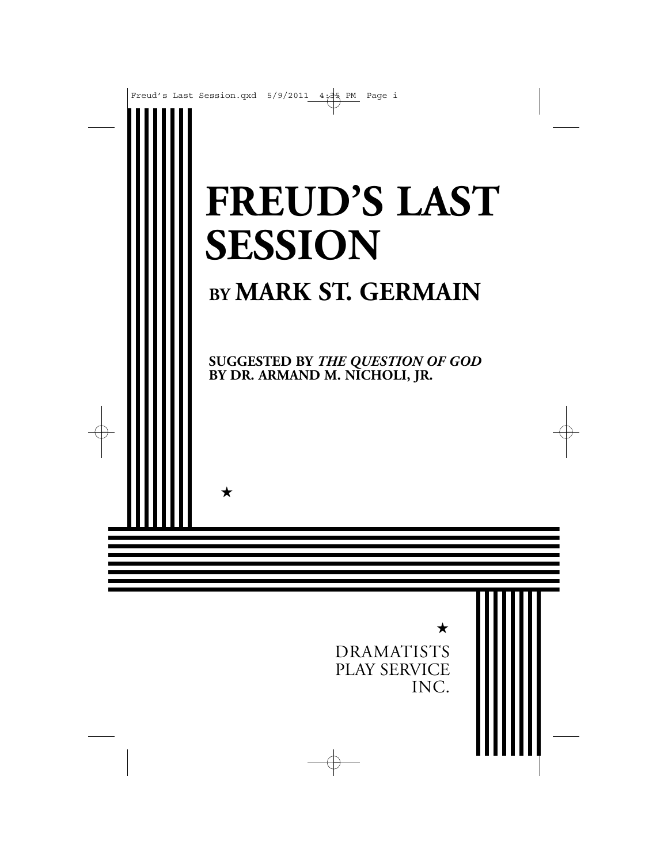

★

DRAMATISTS PLAY SERVICE INC.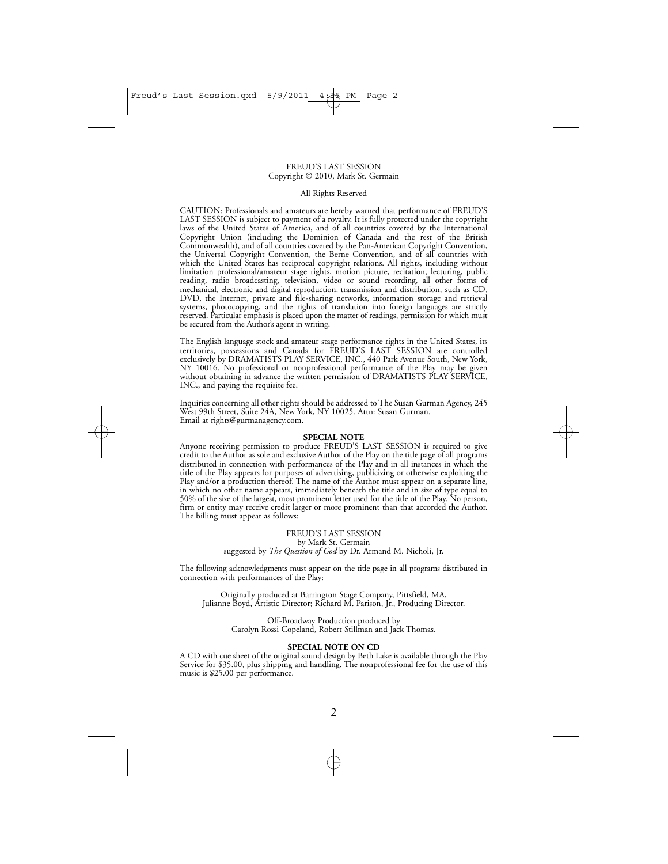#### FREUD'S LAST SESSION Copyright © 2010, Mark St. Germain

#### All Rights Reserved

CAUTION: Professionals and amateurs are hereby warned that performance of FREUD'S LAST SESSION is subject to payment of a royalty. It is fully protected under the copyright laws of the United States of America, and of all countries covered by the International Copyright Union (including the Dominion of Canada and the rest of the British Commonwealth), and of all countries covered by the Pan-American Copyright Convention, the Universal Copyright Convention, the Berne Convention, and of all countries with which the United States has reciprocal copyright relations. All rights, including without limitation professional/amateur stage rights, motion picture, recitation, lecturing, public reading, radio broadcasting, television, video or sound recording, all other forms of mechanical, electronic and digital reproduction, transmission and distribution, such as CD, DVD, the Internet, private and file-sharing networks, information storage and retrieval systems, photocopying, and the rights of translation into foreign languages are strictly reserved. Particular emphasis is placed upon the matter of readings, permission for which must be secured from the Author's agent in writing.

The English language stock and amateur stage performance rights in the United States, its territories, possessions and Canada for FREUD'S LAST SESSION are controlled exclusively by DRAMATISTS PLAY SERVICE, INC., 440 Park Avenue South, New York, NY 10016. No professional or nonprofessional performance of the Play may be given without obtaining in advance the written permission of DRAMATISTS PLAY SERVICE, INC., and paying the requisite fee.

Inquiries concerning all other rights should be addressed to The Susan Gurman Agency, 245 West 99th Street, Suite 24A, New York, NY 10025. Attn: Susan Gurman. Email at rights@gurmanagency.com.

#### **SPECIAL NOTE**

Anyone receiving permission to produce FREUD'S LAST SESSION is required to give credit to the Author as sole and exclusive Author of the Play on the title page of all programs distributed in connection with performances of the Play and in all instances in which the title of the Play appears for purposes of advertising, publicizing or otherwise exploiting the Play and/or a production thereof. The name of the Author must appear on a separate line, in which no other name appears, immediately beneath the title and in size of type equal to 50% of the size of the largest, most prominent letter used for the title of the Play. No person, firm or entity may receive credit larger or more prominent than that accorded the Author. The billing must appear as follows:

> FREUD'S LAST SESSION by Mark St. Germain suggested by *The Question of God* by Dr. Armand M. Nicholi, Jr.

The following acknowledgments must appear on the title page in all programs distributed in connection with performances of the Play:

Originally produced at Barrington Stage Company, Pittsfield, MA, Julianne Boyd, Artistic Director; Richard M. Parison, Jr., Producing Director.

> Off-Broadway Production produced by Carolyn Rossi Copeland, Robert Stillman and Jack Thomas.

#### **SPECIAL NOTE ON CD**

A CD with cue sheet of the original sound design by Beth Lake is available through the Play Service for \$35.00, plus shipping and handling. The nonprofessional fee for the use of this music is \$25.00 per performance.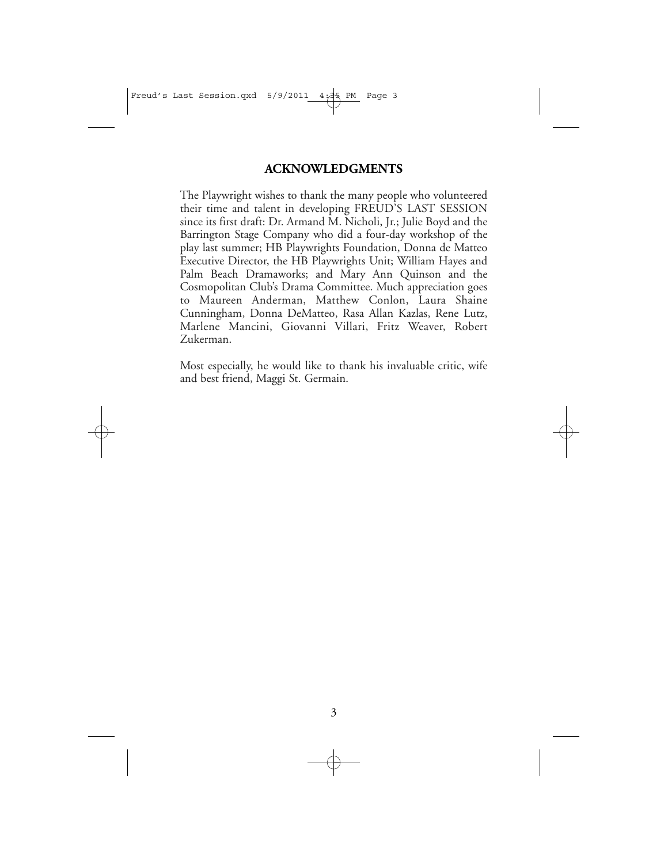### **ACKNOWLEDGMENTS**

The Playwright wishes to thank the many people who volunteered their time and talent in developing FREUD'S LAST SESSION since its first draft: Dr. Armand M. Nicholi, Jr.; Julie Boyd and the Barrington Stage Company who did a four-day workshop of the play last summer; HB Playwrights Foundation, Donna de Matteo Executive Director, the HB Playwrights Unit; William Hayes and Palm Beach Dramaworks; and Mary Ann Quinson and the Cosmopolitan Club's Drama Committee. Much appreciation goes to Maureen Anderman, Matthew Conlon, Laura Shaine Cunningham, Donna DeMatteo, Rasa Allan Kazlas, Rene Lutz, Marlene Mancini, Giovanni Villari, Fritz Weaver, Robert Zukerman.

Most especially, he would like to thank his invaluable critic, wife and best friend, Maggi St. Germain.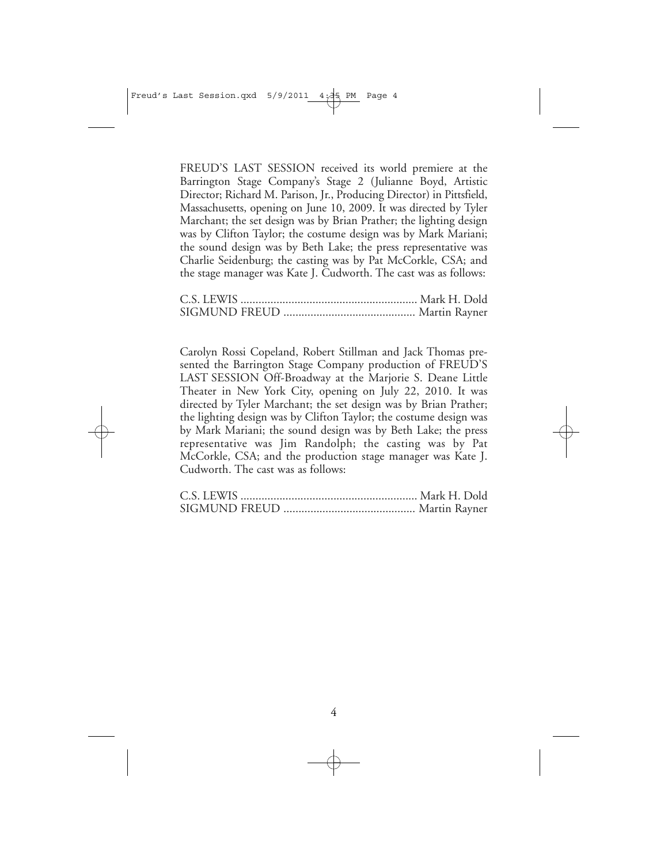FREUD'S LAST SESSION received its world premiere at the Barrington Stage Company's Stage 2 (Julianne Boyd, Artistic Director; Richard M. Parison, Jr., Producing Director) in Pittsfield, Massachusetts, opening on June 10, 2009. It was directed by Tyler Marchant; the set design was by Brian Prather; the lighting design was by Clifton Taylor; the costume design was by Mark Mariani; the sound design was by Beth Lake; the press representative was Charlie Seidenburg; the casting was by Pat McCorkle, CSA; and the stage manager was Kate J. Cudworth. The cast was as follows:

Carolyn Rossi Copeland, Robert Stillman and Jack Thomas presented the Barrington Stage Company production of FREUD'S LAST SESSION Off-Broadway at the Marjorie S. Deane Little Theater in New York City, opening on July 22, 2010. It was directed by Tyler Marchant; the set design was by Brian Prather; the lighting design was by Clifton Taylor; the costume design was by Mark Mariani; the sound design was by Beth Lake; the press representative was Jim Randolph; the casting was by Pat McCorkle, CSA; and the production stage manager was Kate J. Cudworth. The cast was as follows: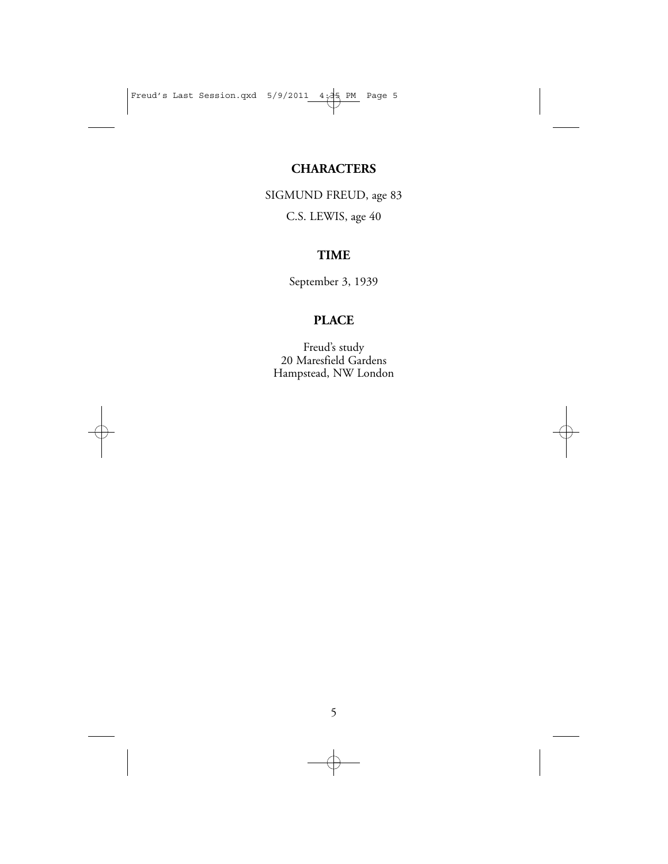## **CHARACTERS**

SIGMUND FREUD, age 83 C.S. LEWIS, age 40

## **TIME**

September 3, 1939

## **PLACE**

Freud's study 20 Maresfield Gardens Hampstead, NW London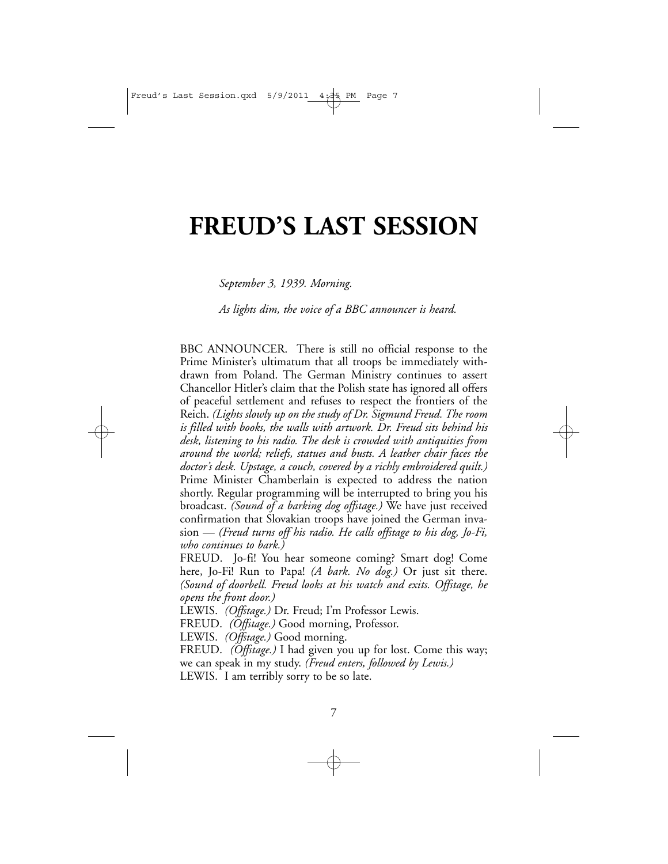# **FREUD'S LAST SESSION**

*September 3, 1939. Morning.*

*As lights dim, the voice of a BBC announcer is heard.*

BBC ANNOUNCER. There is still no official response to the Prime Minister's ultimatum that all troops be immediately withdrawn from Poland. The German Ministry continues to assert Chancellor Hitler's claim that the Polish state has ignored all offers of peaceful settlement and refuses to respect the frontiers of the Reich. *(Lights slowly up on the study of Dr. Sigmund Freud. The room is filled with books, the walls with artwork. Dr. Freud sits behind his desk, listening to his radio. The desk is crowded with antiquities from around the world; reliefs, statues and busts. A leather chair faces the doctor's desk. Upstage, a couch, covered by a richly embroidered quilt.)* Prime Minister Chamberlain is expected to address the nation shortly. Regular programming will be interrupted to bring you his broadcast. *(Sound of a barking dog offstage.)* We have just received confirmation that Slovakian troops have joined the German invasion — *(Freud turns off his radio. He calls offstage to his dog, Jo-Fi, who continues to bark.)*

FREUD. Jo-fi! You hear someone coming? Smart dog! Come here, Jo-Fi! Run to Papa! *(A bark. No dog.)* Or just sit there. *(Sound of doorbell. Freud looks at his watch and exits. Offstage, he opens the front door.)*

LEWIS. *(Offstage.)* Dr. Freud; I'm Professor Lewis.

FREUD. *(Offstage.)* Good morning, Professor.

LEWIS. *(Offstage.)* Good morning.

FREUD. *(Offstage.)* I had given you up for lost. Come this way; we can speak in my study. *(Freud enters, followed by Lewis.)* LEWIS. I am terribly sorry to be so late.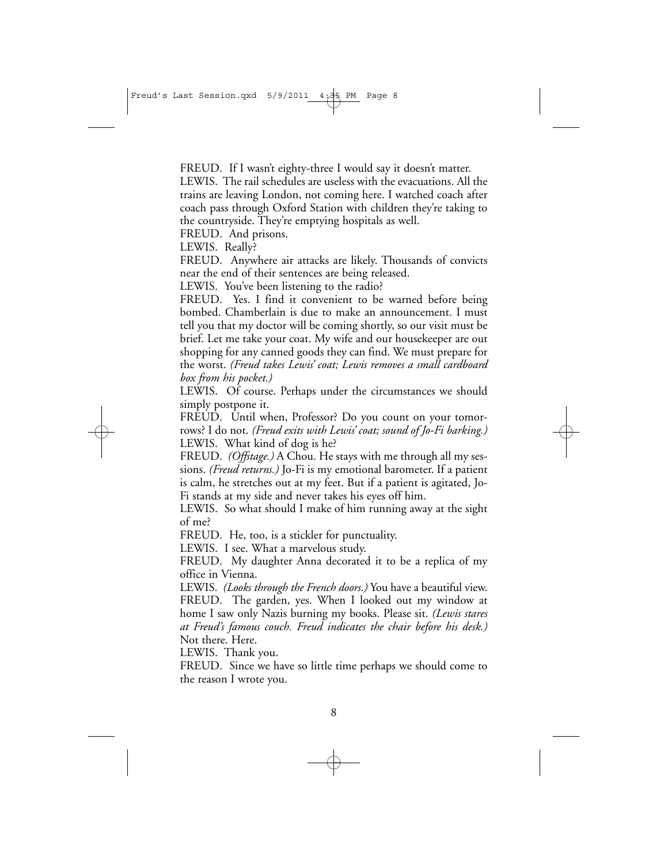FREUD. If I wasn't eighty-three I would say it doesn't matter.

LEWIS. The rail schedules are useless with the evacuations. All the trains are leaving London, not coming here. I watched coach after coach pass through Oxford Station with children they're taking to the countryside. They're emptying hospitals as well.

FREUD. And prisons.

LEWIS. Really?

FREUD. Anywhere air attacks are likely. Thousands of convicts near the end of their sentences are being released.

LEWIS. You've been listening to the radio?

FREUD. Yes. I find it convenient to be warned before being bombed. Chamberlain is due to make an announcement. I must tell you that my doctor will be coming shortly, so our visit must be brief. Let me take your coat. My wife and our housekeeper are out shopping for any canned goods they can find. We must prepare for the worst. *(Freud takes Lewis' coat; Lewis removes a small cardboard box from his pocket.)*

LEWIS. Of course. Perhaps under the circumstances we should simply postpone it.

FREUD. Until when, Professor? Do you count on your tomorrows? I do not. *(Freud exits with Lewis' coat; sound of Jo-Fi barking.)* LEWIS. What kind of dog is he?

FREUD. *(Offstage.)* A Chou. He stays with me through all my sessions. *(Freud returns.)* Jo-Fi is my emotional barometer. If a patient is calm, he stretches out at my feet. But if a patient is agitated, Jo-Fi stands at my side and never takes his eyes off him.

LEWIS. So what should I make of him running away at the sight of me?

FREUD. He, too, is a stickler for punctuality.

LEWIS. I see. What a marvelous study.

FREUD. My daughter Anna decorated it to be a replica of my office in Vienna.

LEWIS. *(Looks through the French doors.)* You have a beautiful view. FREUD. The garden, yes. When I looked out my window at home I saw only Nazis burning my books. Please sit. *(Lewis stares at Freud's famous couch. Freud indicates the chair before his desk.)* Not there. Here.

LEWIS. Thank you.

FREUD. Since we have so little time perhaps we should come to the reason I wrote you.